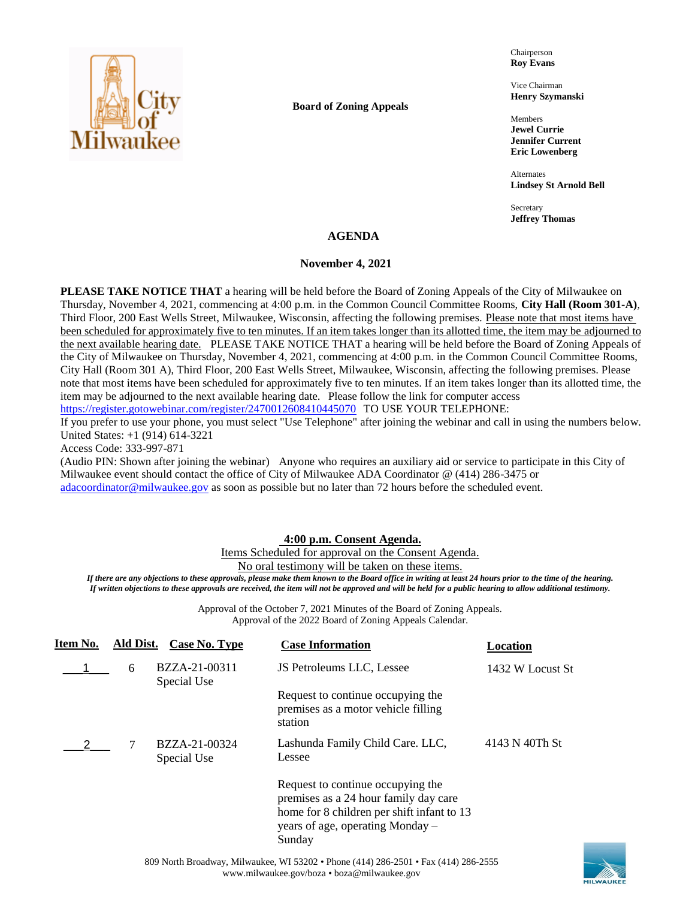

### **Board of Zoning Appeals**

Chairperson **Roy Evans**

Vice Chairman **Henry Szymanski**

Members **Jewel Currie Jennifer Current Eric Lowenberg**

Alternates **Lindsey St Arnold Bell**

Secretary **Jeffrey Thomas**

### **AGENDA**

### **November 4, 2021**

**PLEASE TAKE NOTICE THAT** a hearing will be held before the Board of Zoning Appeals of the City of Milwaukee on Thursday, November 4, 2021, commencing at 4:00 p.m. in the Common Council Committee Rooms, **City Hall (Room 301-A)**, Third Floor, 200 East Wells Street, Milwaukee, Wisconsin, affecting the following premises. Please note that most items have been scheduled for approximately five to ten minutes. If an item takes longer than its allotted time, the item may be adjourned to the next available hearing date. PLEASE TAKE NOTICE THAT a hearing will be held before the Board of Zoning Appeals of the City of Milwaukee on Thursday, November 4, 2021, commencing at 4:00 p.m. in the Common Council Committee Rooms, City Hall (Room 301 A), Third Floor, 200 East Wells Street, Milwaukee, Wisconsin, affecting the following premises. Please note that most items have been scheduled for approximately five to ten minutes. If an item takes longer than its allotted time, the item may be adjourned to the next available hearing date. Please follow the link for computer access

<https://register.gotowebinar.com/register/2470012608410445070> TO USE YOUR TELEPHONE:

If you prefer to use your phone, you must select "Use Telephone" after joining the webinar and call in using the numbers below. United States: +1 (914) 614-3221

Access Code: 333-997-871

(Audio PIN: Shown after joining the webinar) Anyone who requires an auxiliary aid or service to participate in this City of Milwaukee event should contact the office of City of Milwaukee ADA Coordinator @ (414) 286-3475 or [adacoordinator@milwaukee.gov](mailto:adacoordinator@milwaukee.gov) as soon as possible but no later than 72 hours before the scheduled event.

## **4:00 p.m. Consent Agenda.**

Items Scheduled for approval on the Consent Agenda.

No oral testimony will be taken on these items.

*If there are any objections to these approvals, please make them known to the Board office in writing at least 24 hours prior to the time of the hearing. If written objections to these approvals are received, the item will not be approved and will be held for a public hearing to allow additional testimony.*

> Approval of the October 7, 2021 Minutes of the Board of Zoning Appeals. Approval of the 2022 Board of Zoning Appeals Calendar.

| Item No. | Ald Dist. | Case No. Type                | <b>Case Information</b>                                                                                                                                                | Location         |
|----------|-----------|------------------------------|------------------------------------------------------------------------------------------------------------------------------------------------------------------------|------------------|
|          | 6         | BZZA-21-00311<br>Special Use | JS Petroleums LLC, Lessee                                                                                                                                              | 1432 W Locust St |
|          |           |                              | Request to continue occupying the<br>premises as a motor vehicle filling<br>station                                                                                    |                  |
|          |           | BZZA-21-00324<br>Special Use | Lashunda Family Child Care. LLC,<br>Lessee                                                                                                                             | 4143 N 40Th St   |
|          |           |                              | Request to continue occupying the<br>premises as a 24 hour family day care<br>home for 8 children per shift infant to 13<br>years of age, operating Monday –<br>Sunday |                  |

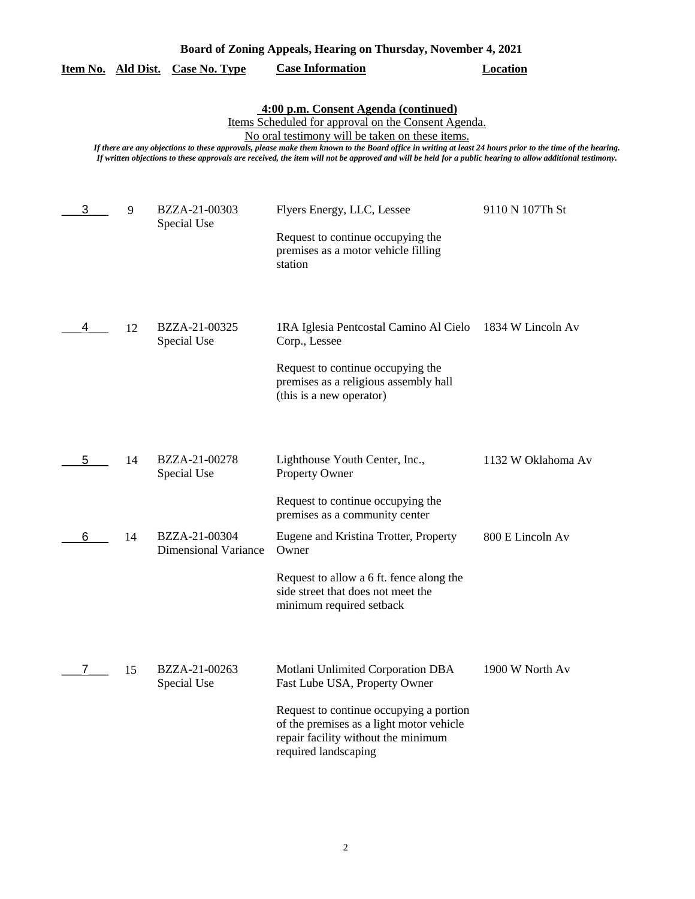|  | Board of Zoning Appeals, Hearing on Thursday, November 4, 2021 |
|--|----------------------------------------------------------------|
|  |                                                                |

|  | Item No. Ald Dist. Case No. Type | <b>Case Information</b> | Location |
|--|----------------------------------|-------------------------|----------|
|  |                                  |                         |          |

**4:00 p.m. Consent Agenda (continued)**

Items Scheduled for approval on the Consent Agenda.

No oral testimony will be taken on these items.

*If there are any objections to these approvals, please make them known to the Board office in writing at least 24 hours prior to the time of the hearing. If written objections to these approvals are received, the item will not be approved and will be held for a public hearing to allow additional testimony.*

| 3 | 9  | BZZA-21-00303<br>Special Use                 | Flyers Energy, LLC, Lessee<br>Request to continue occupying the<br>premises as a motor vehicle filling<br>station                                                                                                        | 9110 N 107Th St    |
|---|----|----------------------------------------------|--------------------------------------------------------------------------------------------------------------------------------------------------------------------------------------------------------------------------|--------------------|
| 4 | 12 | BZZA-21-00325<br>Special Use                 | 1RA Iglesia Pentcostal Camino Al Cielo<br>Corp., Lessee<br>Request to continue occupying the<br>premises as a religious assembly hall<br>(this is a new operator)                                                        | 1834 W Lincoln Av  |
| 5 | 14 | BZZA-21-00278<br>Special Use                 | Lighthouse Youth Center, Inc.,<br>Property Owner<br>Request to continue occupying the<br>premises as a community center                                                                                                  | 1132 W Oklahoma Av |
| 6 | 14 | BZZA-21-00304<br><b>Dimensional Variance</b> | Eugene and Kristina Trotter, Property<br>Owner<br>Request to allow a 6 ft. fence along the<br>side street that does not meet the<br>minimum required setback                                                             | 800 E Lincoln Av   |
| 7 | 15 | BZZA-21-00263<br>Special Use                 | Motlani Unlimited Corporation DBA<br>Fast Lube USA, Property Owner<br>Request to continue occupying a portion<br>of the premises as a light motor vehicle<br>repair facility without the minimum<br>required landscaping | 1900 W North Av    |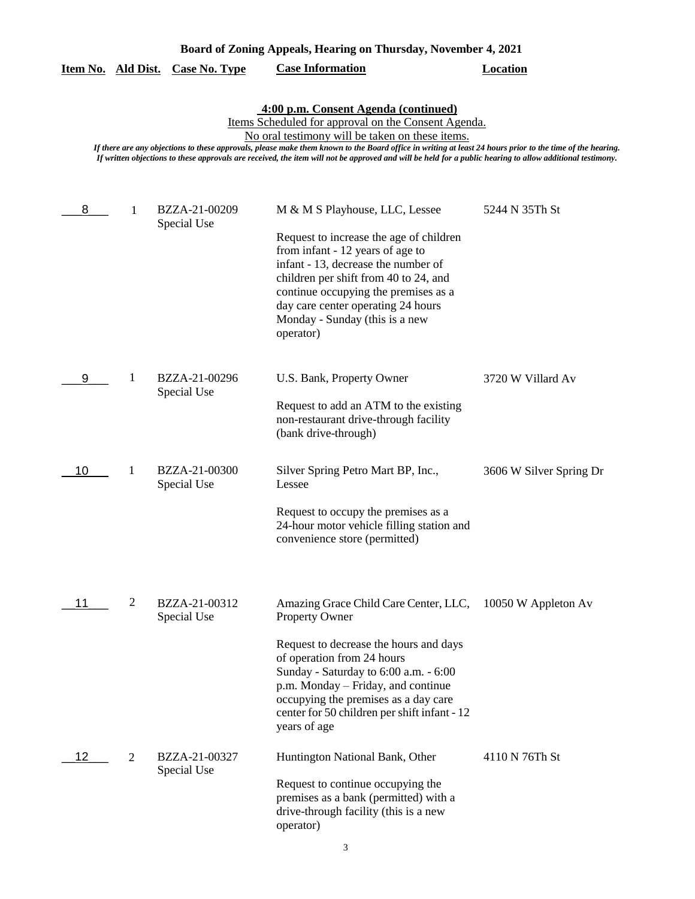|  | Board of Zoning Appeals, Hearing on Thursday, November 4, 2021 |
|--|----------------------------------------------------------------|
|  |                                                                |

|  |  | Item No. Ald Dist. Case No. Type | <b>Case Information</b> | Location |
|--|--|----------------------------------|-------------------------|----------|
|--|--|----------------------------------|-------------------------|----------|

**4:00 p.m. Consent Agenda (continued)**

Items Scheduled for approval on the Consent Agenda.

No oral testimony will be taken on these items.

*If there are any objections to these approvals, please make them known to the Board office in writing at least 24 hours prior to the time of the hearing. If written objections to these approvals are received, the item will not be approved and will be held for a public hearing to allow additional testimony.*

| 8  | 1 | BZZA-21-00209<br>Special Use | M & M S Playhouse, LLC, Lessee                                                                                                                                                                                                                                                           | 5244 N 35Th St          |
|----|---|------------------------------|------------------------------------------------------------------------------------------------------------------------------------------------------------------------------------------------------------------------------------------------------------------------------------------|-------------------------|
|    |   |                              | Request to increase the age of children<br>from infant - 12 years of age to<br>infant - 13, decrease the number of<br>children per shift from 40 to 24, and<br>continue occupying the premises as a<br>day care center operating 24 hours<br>Monday - Sunday (this is a new<br>operator) |                         |
| 9  | 1 | BZZA-21-00296                | U.S. Bank, Property Owner                                                                                                                                                                                                                                                                | 3720 W Villard Av       |
|    |   | Special Use                  | Request to add an ATM to the existing<br>non-restaurant drive-through facility<br>(bank drive-through)                                                                                                                                                                                   |                         |
| 10 | 1 | BZZA-21-00300<br>Special Use | Silver Spring Petro Mart BP, Inc.,<br>Lessee                                                                                                                                                                                                                                             | 3606 W Silver Spring Dr |
|    |   |                              | Request to occupy the premises as a<br>24-hour motor vehicle filling station and<br>convenience store (permitted)                                                                                                                                                                        |                         |
| 11 | 2 | BZZA-21-00312<br>Special Use | Amazing Grace Child Care Center, LLC,<br><b>Property Owner</b>                                                                                                                                                                                                                           | 10050 W Appleton Av     |
|    |   |                              | Request to decrease the hours and days<br>of operation from 24 hours<br>Sunday - Saturday to 6:00 a.m. - 6:00<br>p.m. Monday – Friday, and continue<br>occupying the premises as a day care<br>center for 50 children per shift infant - 12<br>years of age                              |                         |
| 12 | 2 | BZZA-21-00327<br>Special Use | Huntington National Bank, Other                                                                                                                                                                                                                                                          | 4110 N 76Th St          |
|    |   |                              | Request to continue occupying the<br>premises as a bank (permitted) with a<br>drive-through facility (this is a new<br>operator)                                                                                                                                                         |                         |

3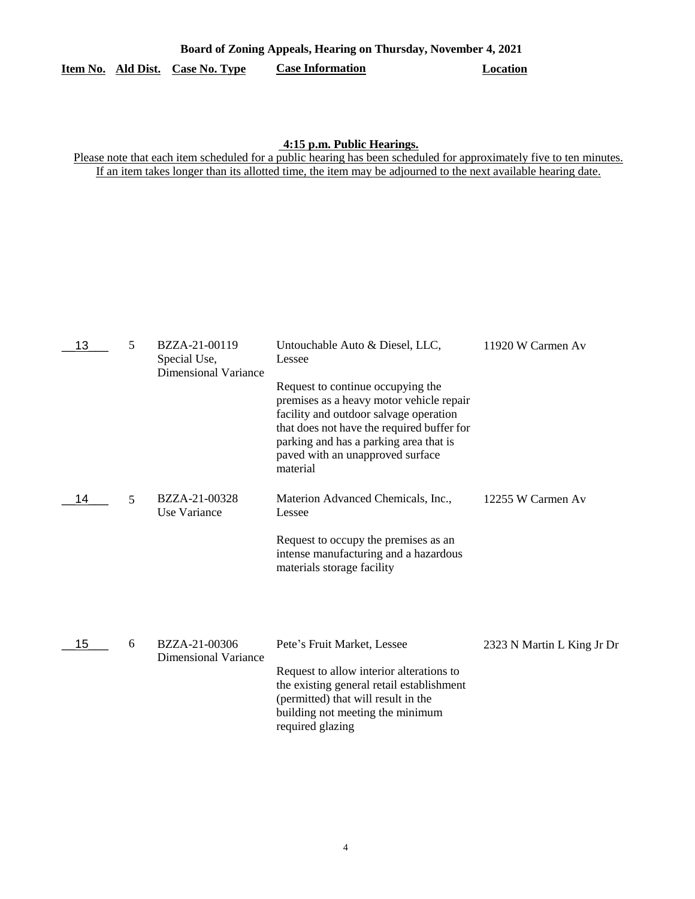# **Item No. Ald Dist. Case No. Type Case Information Location**

### **4:15 p.m. Public Hearings.**

Please note that each item scheduled for a public hearing has been scheduled for approximately five to ten minutes. If an item takes longer than its allotted time, the item may be adjourned to the next available hearing date.

| 13 | 5 | BZZA-21-00119<br>Special Use,<br><b>Dimensional Variance</b> | Untouchable Auto & Diesel, LLC,<br>Lessee                                                                                                                                                                                                                       | 11920 W Carmen Av          |
|----|---|--------------------------------------------------------------|-----------------------------------------------------------------------------------------------------------------------------------------------------------------------------------------------------------------------------------------------------------------|----------------------------|
|    |   |                                                              | Request to continue occupying the<br>premises as a heavy motor vehicle repair<br>facility and outdoor salvage operation<br>that does not have the required buffer for<br>parking and has a parking area that is<br>paved with an unapproved surface<br>material |                            |
| 14 | 5 | BZZA-21-00328<br>Use Variance                                | Materion Advanced Chemicals, Inc.,<br>Lessee                                                                                                                                                                                                                    | 12255 W Carmen Av          |
|    |   |                                                              | Request to occupy the premises as an<br>intense manufacturing and a hazardous<br>materials storage facility                                                                                                                                                     |                            |
| 15 | 6 | BZZA-21-00306<br><b>Dimensional Variance</b>                 | Pete's Fruit Market, Lessee<br>Request to allow interior alterations to<br>the existing general retail establishment<br>(permitted) that will result in the<br>building not meeting the minimum<br>required glazing                                             | 2323 N Martin L King Jr Dr |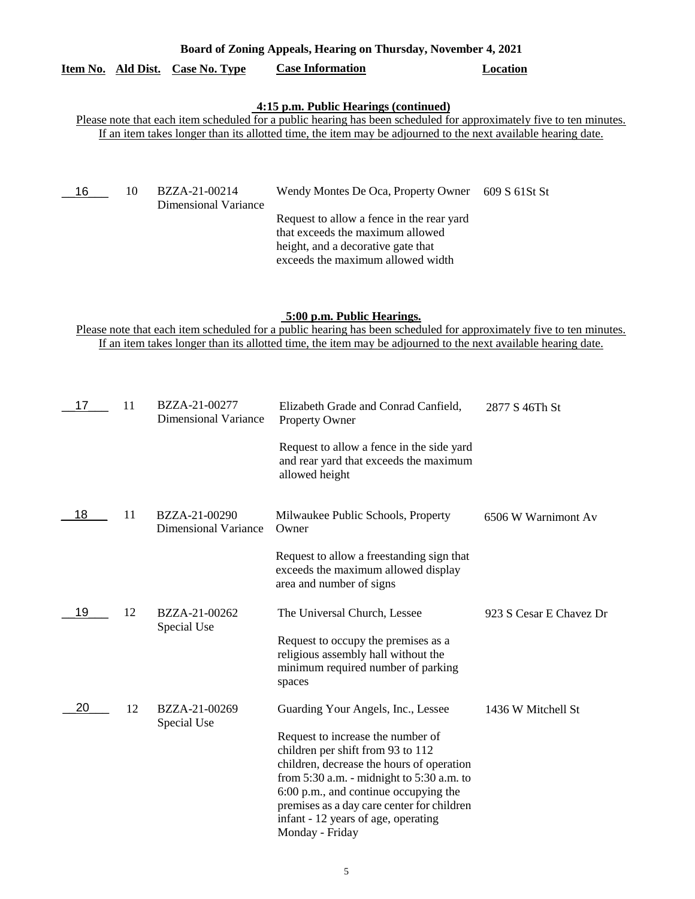| Board of Zoning Appeals, Hearing on Thursday, November 4, 2021 |  |
|----------------------------------------------------------------|--|
|                                                                |  |

# **Item No. Ald Dist. Case No. Type Case Information Location**

# **4:15 p.m. Public Hearings (continued)**

Please note that each item scheduled for a public hearing has been scheduled for approximately five to ten minutes. If an item takes longer than its allotted time, the item may be adjourned to the next available hearing date.

| - 16 | 10 | BZZA-21-00214<br>Dimensional Variance | Wendy Montes De Oca, Property Owner 609 S 61St St                                                                                                        |  |
|------|----|---------------------------------------|----------------------------------------------------------------------------------------------------------------------------------------------------------|--|
|      |    |                                       | Request to allow a fence in the rear yard<br>that exceeds the maximum allowed<br>height, and a decorative gate that<br>exceeds the maximum allowed width |  |

## **5:00 p.m. Public Hearings.**

Please note that each item scheduled for a public hearing has been scheduled for approximately five to ten minutes. If an item takes longer than its allotted time, the item may be adjourned to the next available hearing date.

| 17 | 11 | BZZA-21-00277<br><b>Dimensional Variance</b> | Elizabeth Grade and Conrad Canfield,<br>Property Owner                                                                                                                                                                                                                                                                | 2877 S 46Th St          |
|----|----|----------------------------------------------|-----------------------------------------------------------------------------------------------------------------------------------------------------------------------------------------------------------------------------------------------------------------------------------------------------------------------|-------------------------|
|    |    |                                              | Request to allow a fence in the side yard<br>and rear yard that exceeds the maximum<br>allowed height                                                                                                                                                                                                                 |                         |
| 18 | 11 | BZZA-21-00290<br><b>Dimensional Variance</b> | Milwaukee Public Schools, Property<br>Owner                                                                                                                                                                                                                                                                           | 6506 W Warnimont Av     |
|    |    |                                              | Request to allow a freestanding sign that<br>exceeds the maximum allowed display<br>area and number of signs                                                                                                                                                                                                          |                         |
| 19 | 12 | BZZA-21-00262<br>Special Use                 | The Universal Church, Lessee                                                                                                                                                                                                                                                                                          | 923 S Cesar E Chavez Dr |
|    |    |                                              | Request to occupy the premises as a<br>religious assembly hall without the<br>minimum required number of parking<br>spaces                                                                                                                                                                                            |                         |
| 20 | 12 | BZZA-21-00269<br>Special Use                 | Guarding Your Angels, Inc., Lessee                                                                                                                                                                                                                                                                                    | 1436 W Mitchell St      |
|    |    |                                              | Request to increase the number of<br>children per shift from 93 to 112<br>children, decrease the hours of operation<br>from $5:30$ a.m. - midnight to $5:30$ a.m. to<br>6:00 p.m., and continue occupying the<br>premises as a day care center for children<br>infant - 12 years of age, operating<br>Monday - Friday |                         |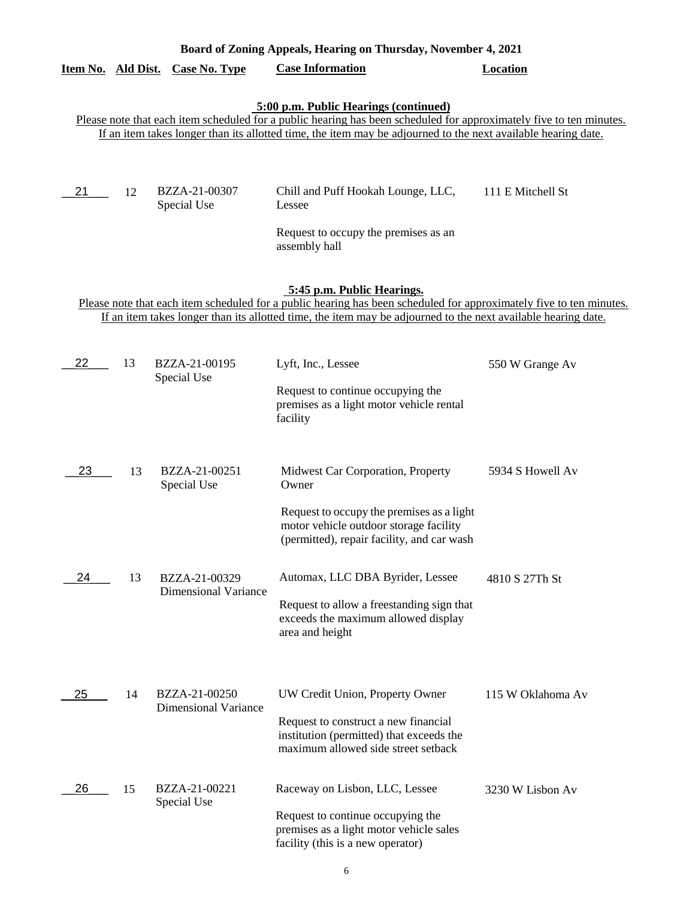| Board of Zoning Appeals, Hearing on Thursday, November 4, 2021 |                                                                                                                                                                                                                                                                    |                                              |                                                                                                                                                                                                                                                                               |                   |  |
|----------------------------------------------------------------|--------------------------------------------------------------------------------------------------------------------------------------------------------------------------------------------------------------------------------------------------------------------|----------------------------------------------|-------------------------------------------------------------------------------------------------------------------------------------------------------------------------------------------------------------------------------------------------------------------------------|-------------------|--|
|                                                                |                                                                                                                                                                                                                                                                    | Item No. Ald Dist. Case No. Type             | <b>Case Information</b>                                                                                                                                                                                                                                                       | <b>Location</b>   |  |
|                                                                |                                                                                                                                                                                                                                                                    |                                              | 5:00 p.m. Public Hearings (continued)<br>Please note that each item scheduled for a public hearing has been scheduled for approximately five to ten minutes.<br>If an item takes longer than its allotted time, the item may be adjourned to the next available hearing date. |                   |  |
| 21                                                             | 12                                                                                                                                                                                                                                                                 | BZZA-21-00307<br>Special Use                 | Chill and Puff Hookah Lounge, LLC,<br><b>Lessee</b><br>Request to occupy the premises as an<br>assembly hall                                                                                                                                                                  | 111 E Mitchell St |  |
|                                                                | 5:45 p.m. Public Hearings.<br>Please note that each item scheduled for a public hearing has been scheduled for approximately five to ten minutes.<br>If an item takes longer than its allotted time, the item may be adjourned to the next available hearing date. |                                              |                                                                                                                                                                                                                                                                               |                   |  |
| 22                                                             | 13                                                                                                                                                                                                                                                                 | BZZA-21-00195<br>Special Use                 | Lyft, Inc., Lessee<br>Request to continue occupying the<br>premises as a light motor vehicle rental<br>facility                                                                                                                                                               | 550 W Grange Av   |  |
| 23                                                             | 13                                                                                                                                                                                                                                                                 | BZZA-21-00251<br>Special Use                 | Midwest Car Corporation, Property<br>Owner<br>Request to occupy the premises as a light<br>motor vehicle outdoor storage facility<br>(permitted), repair facility, and car wash                                                                                               | 5934 S Howell Av  |  |
| 24                                                             | 13                                                                                                                                                                                                                                                                 | BZZA-21-00329<br><b>Dimensional Variance</b> | Automax, LLC DBA Byrider, Lessee<br>Request to allow a freestanding sign that<br>exceeds the maximum allowed display<br>area and height                                                                                                                                       | 4810 S 27Th St    |  |
| 25                                                             | 14                                                                                                                                                                                                                                                                 | BZZA-21-00250<br><b>Dimensional Variance</b> | UW Credit Union, Property Owner<br>Request to construct a new financial<br>institution (permitted) that exceeds the<br>maximum allowed side street setback                                                                                                                    | 115 W Oklahoma Av |  |
| 26                                                             | 15                                                                                                                                                                                                                                                                 | BZZA-21-00221<br>Special Use                 | Raceway on Lisbon, LLC, Lessee<br>Request to continue occupying the<br>premises as a light motor vehicle sales<br>facility (this is a new operator)                                                                                                                           | 3230 W Lisbon Av  |  |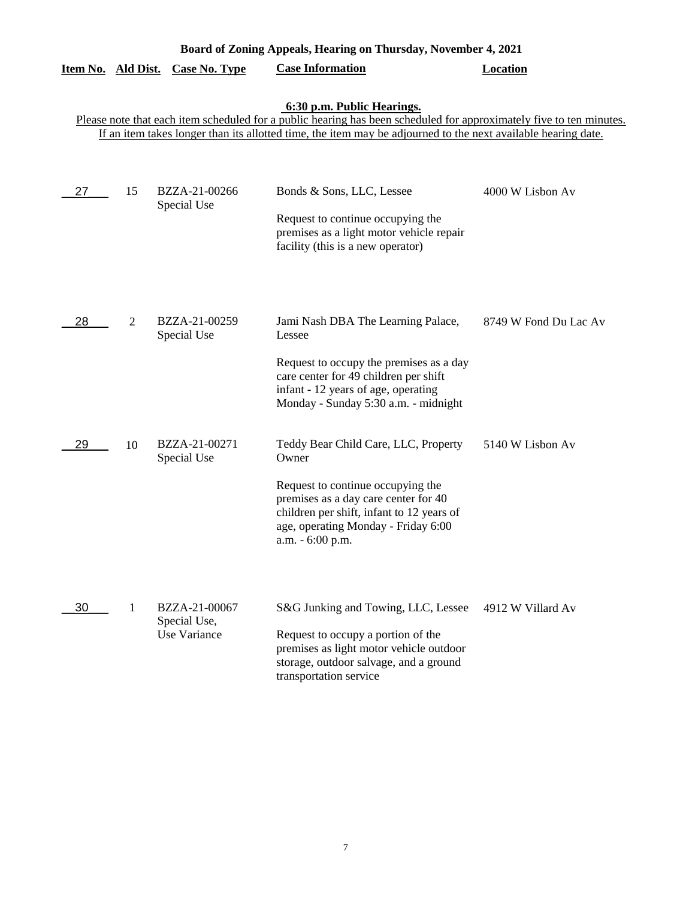| Board of Zoning Appeals, Hearing on Thursday, November 4, 2021 |    |                                               |                                                                                                                                                                                                                                                                            |                       |  |  |
|----------------------------------------------------------------|----|-----------------------------------------------|----------------------------------------------------------------------------------------------------------------------------------------------------------------------------------------------------------------------------------------------------------------------------|-----------------------|--|--|
| Item No. Ald Dist.                                             |    | <b>Case No. Type</b>                          | <b>Case Information</b>                                                                                                                                                                                                                                                    | <b>Location</b>       |  |  |
|                                                                |    |                                               | 6:30 p.m. Public Hearings.<br>Please note that each item scheduled for a public hearing has been scheduled for approximately five to ten minutes.<br>If an item takes longer than its allotted time, the item may be adjourned to the next available hearing date.         |                       |  |  |
| 27                                                             | 15 | BZZA-21-00266<br>Special Use                  | Bonds & Sons, LLC, Lessee<br>Request to continue occupying the<br>premises as a light motor vehicle repair<br>facility (this is a new operator)                                                                                                                            | 4000 W Lisbon Av      |  |  |
| 28                                                             | 2  | BZZA-21-00259<br>Special Use                  | Jami Nash DBA The Learning Palace,<br>Lessee<br>Request to occupy the premises as a day<br>care center for 49 children per shift<br>infant - 12 years of age, operating                                                                                                    | 8749 W Fond Du Lac Av |  |  |
| 29                                                             | 10 | BZZA-21-00271<br>Special Use                  | Monday - Sunday 5:30 a.m. - midnight<br>Teddy Bear Child Care, LLC, Property<br>Owner<br>Request to continue occupying the<br>premises as a day care center for 40<br>children per shift, infant to 12 years of<br>age, operating Monday - Friday 6:00<br>a.m. - 6:00 p.m. | 5140 W Lisbon Av      |  |  |
| 30                                                             | 1  | BZZA-21-00067<br>Special Use,<br>Use Variance | S&G Junking and Towing, LLC, Lessee<br>Request to occupy a portion of the<br>premises as light motor vehicle outdoor<br>storage, outdoor salvage, and a ground<br>transportation service                                                                                   | 4912 W Villard Av     |  |  |